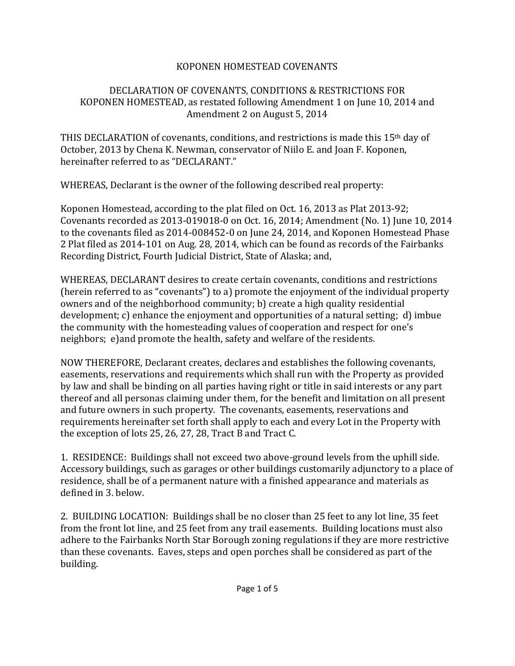## KOPONEN HOMESTEAD COVENANTS

## DECLARATION OF COVENANTS, CONDITIONS & RESTRICTIONS FOR KOPONEN HOMESTEAD, as restated following Amendment 1 on June 10, 2014 and Amendment 2 on August 5, 2014

THIS DECLARATION of covenants, conditions, and restrictions is made this 15th day of October, 2013 by Chena K. Newman, conservator of Niilo E. and Joan F. Koponen, hereinafter referred to as "DECLARANT."

WHEREAS, Declarant is the owner of the following described real property:

Koponen Homestead, according to the plat filed on Oct. 16, 2013 as Plat 2013-92; Covenants recorded as 2013-019018-0 on Oct. 16, 2014; Amendment (No. 1) June 10, 2014 to the covenants filed as 2014-008452-0 on June 24, 2014, and Koponen Homestead Phase 2 Plat filed as 2014-101 on Aug. 28, 2014, which can be found as records of the Fairbanks Recording District, Fourth Judicial District, State of Alaska; and,

WHEREAS, DECLARANT desires to create certain covenants, conditions and restrictions (herein referred to as "covenants") to a) promote the enjoyment of the individual property owners and of the neighborhood community; b) create a high quality residential development; c) enhance the enjoyment and opportunities of a natural setting; d) imbue the community with the homesteading values of cooperation and respect for one's neighbors; e)and promote the health, safety and welfare of the residents.

NOW THEREFORE, Declarant creates, declares and establishes the following covenants, easements, reservations and requirements which shall run with the Property as provided by law and shall be binding on all parties having right or title in said interests or any part thereof and all personas claiming under them, for the benefit and limitation on all present and future owners in such property. The covenants, easements, reservations and requirements hereinafter set forth shall apply to each and every Lot in the Property with the exception of lots 25, 26, 27, 28, Tract B and Tract C.

1. RESIDENCE: Buildings shall not exceed two above-ground levels from the uphill side. Accessory buildings, such as garages or other buildings customarily adjunctory to a place of residence, shall be of a permanent nature with a finished appearance and materials as defined in 3. below.

2. BUILDING LOCATION: Buildings shall be no closer than 25 feet to any lot line, 35 feet from the front lot line, and 25 feet from any trail easements. Building locations must also adhere to the Fairbanks North Star Borough zoning regulations if they are more restrictive than these covenants. Eaves, steps and open porches shall be considered as part of the building.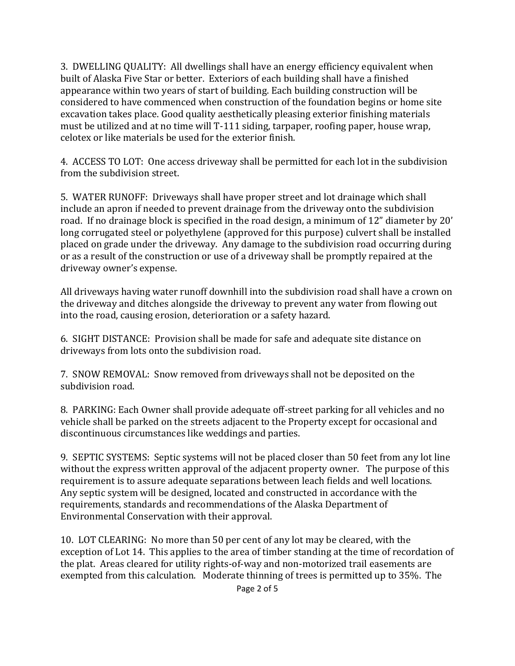3. DWELLING QUALITY: All dwellings shall have an energy efficiency equivalent when built of Alaska Five Star or better. Exteriors of each building shall have a finished appearance within two years of start of building. Each building construction will be considered to have commenced when construction of the foundation begins or home site excavation takes place. Good quality aesthetically pleasing exterior finishing materials must be utilized and at no time will T-111 siding, tarpaper, roofing paper, house wrap, celotex or like materials be used for the exterior finish.

4. ACCESS TO LOT: One access driveway shall be permitted for each lot in the subdivision from the subdivision street.

5. WATER RUNOFF: Driveways shall have proper street and lot drainage which shall include an apron if needed to prevent drainage from the driveway onto the subdivision road. If no drainage block is specified in the road design, a minimum of 12" diameter by 20' long corrugated steel or polyethylene (approved for this purpose) culvert shall be installed placed on grade under the driveway. Any damage to the subdivision road occurring during or as a result of the construction or use of a driveway shall be promptly repaired at the driveway owner's expense.

All driveways having water runoff downhill into the subdivision road shall have a crown on the driveway and ditches alongside the driveway to prevent any water from flowing out into the road, causing erosion, deterioration or a safety hazard.

6. SIGHT DISTANCE: Provision shall be made for safe and adequate site distance on driveways from lots onto the subdivision road.

7. SNOW REMOVAL: Snow removed from driveways shall not be deposited on the subdivision road.

8. PARKING: Each Owner shall provide adequate off-street parking for all vehicles and no vehicle shall be parked on the streets adjacent to the Property except for occasional and discontinuous circumstances like weddings and parties.

9. SEPTIC SYSTEMS: Septic systems will not be placed closer than 50 feet from any lot line without the express written approval of the adjacent property owner. The purpose of this requirement is to assure adequate separations between leach fields and well locations. Any septic system will be designed, located and constructed in accordance with the requirements, standards and recommendations of the Alaska Department of Environmental Conservation with their approval.

10. LOT CLEARING: No more than 50 per cent of any lot may be cleared, with the exception of Lot 14. This applies to the area of timber standing at the time of recordation of the plat. Areas cleared for utility rights-of-way and non-motorized trail easements are exempted from this calculation. Moderate thinning of trees is permitted up to 35%. The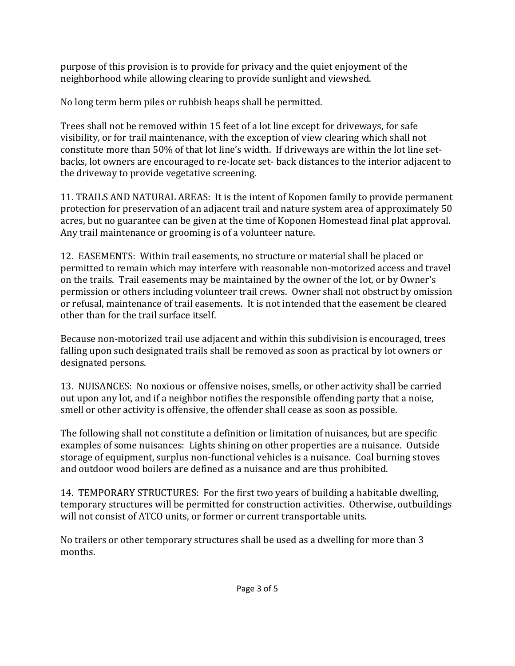purpose of this provision is to provide for privacy and the quiet enjoyment of the neighborhood while allowing clearing to provide sunlight and viewshed.

No long term berm piles or rubbish heaps shall be permitted.

Trees shall not be removed within 15 feet of a lot line except for driveways, for safe visibility, or for trail maintenance, with the exception of view clearing which shall not constitute more than 50% of that lot line's width. If driveways are within the lot line setbacks, lot owners are encouraged to re-locate set- back distances to the interior adjacent to the driveway to provide vegetative screening.

11. TRAILS AND NATURAL AREAS: It is the intent of Koponen family to provide permanent protection for preservation of an adjacent trail and nature system area of approximately 50 acres, but no guarantee can be given at the time of Koponen Homestead final plat approval. Any trail maintenance or grooming is of a volunteer nature.

12. EASEMENTS: Within trail easements, no structure or material shall be placed or permitted to remain which may interfere with reasonable non-motorized access and travel on the trails. Trail easements may be maintained by the owner of the lot, or by Owner's permission or others including volunteer trail crews. Owner shall not obstruct by omission or refusal, maintenance of trail easements. It is not intended that the easement be cleared other than for the trail surface itself.

Because non-motorized trail use adjacent and within this subdivision is encouraged, trees falling upon such designated trails shall be removed as soon as practical by lot owners or designated persons.

13. NUISANCES: No noxious or offensive noises, smells, or other activity shall be carried out upon any lot, and if a neighbor notifies the responsible offending party that a noise, smell or other activity is offensive, the offender shall cease as soon as possible.

The following shall not constitute a definition or limitation of nuisances, but are specific examples of some nuisances: Lights shining on other properties are a nuisance. Outside storage of equipment, surplus non-functional vehicles is a nuisance. Coal burning stoves and outdoor wood boilers are defined as a nuisance and are thus prohibited.

14. TEMPORARY STRUCTURES: For the first two years of building a habitable dwelling, temporary structures will be permitted for construction activities. Otherwise, outbuildings will not consist of ATCO units, or former or current transportable units.

No trailers or other temporary structures shall be used as a dwelling for more than 3 months.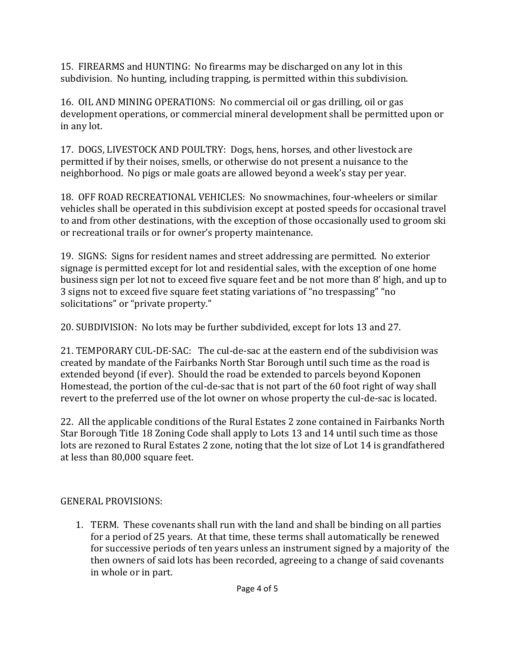15. FIREARMS and HUNTING: No firearms may be discharged on any lot in this subdivision. No hunting, including trapping, is permitted within this subdivision.

16. OIL AND MINING OPERATIONS: No commercial oil or gas drilling, oil or gas development operations, or commercial mineral development shall be permitted upon or in any lot.

17. DOGS, LIVESTOCK AND POULTRY: Dogs, hens, horses, and other livestock are permitted if by their noises, smells, or otherwise do not present a nuisance to the neighborhood. No pigs or male goats are allowed beyond a week's stay per year.

18. OFF ROAD RECREATIONAL VEHICLES: No snowmachines, four-wheelers or similar vehicles shall be operated in this subdivision except at posted speeds for occasional travel to and from other destinations, with the exception of those occasionally used to groom ski or recreational trails or for owner's property maintenance.

19. SIGNS: Signs for resident names and street addressing are permitted. No exterior signage is permitted except for lot and residential sales, with the exception of one home business sign per lot not to exceed five square feet and be not more than 8' high, and up to 3 signs not to exceed five square feet stating variations of "no trespassing" "no solicitations" or "private property."

20. SUBDIVISION: No lots may be further subdivided, except for lots 13 and 27.

21. TEMPORARY CUL-DE-SAC: The cul-de-sac at the eastern end of the subdivision was created by mandate of the Fairbanks North Star Borough until such time as the road is extended beyond (if ever). Should the road be extended to parcels beyond Koponen Homestead, the portion of the cul-de-sac that is not part of the 60 foot right of way shall revert to the preferred use of the lot owner on whose property the cul-de-sac is located.

22. All the applicable conditions of the Rural Estates 2 zone contained in Fairbanks North Star Borough Title 18 Zoning Code shall apply to Lots 13 and 14 until such time as those lots are rezoned to Rural Estates 2 zone, noting that the lot size of Lot 14 is grandfathered at less than 80,000 square feet.

## GENERAL PROVISIONS:

1. TERM. These covenants shall run with the land and shall be binding on all parties for a period of 25 years. At that time, these terms shall automatically be renewed for successive periods of ten years unless an instrument signed by a majority of the then owners of said lots has been recorded, agreeing to a change of said covenants in whole or in part.